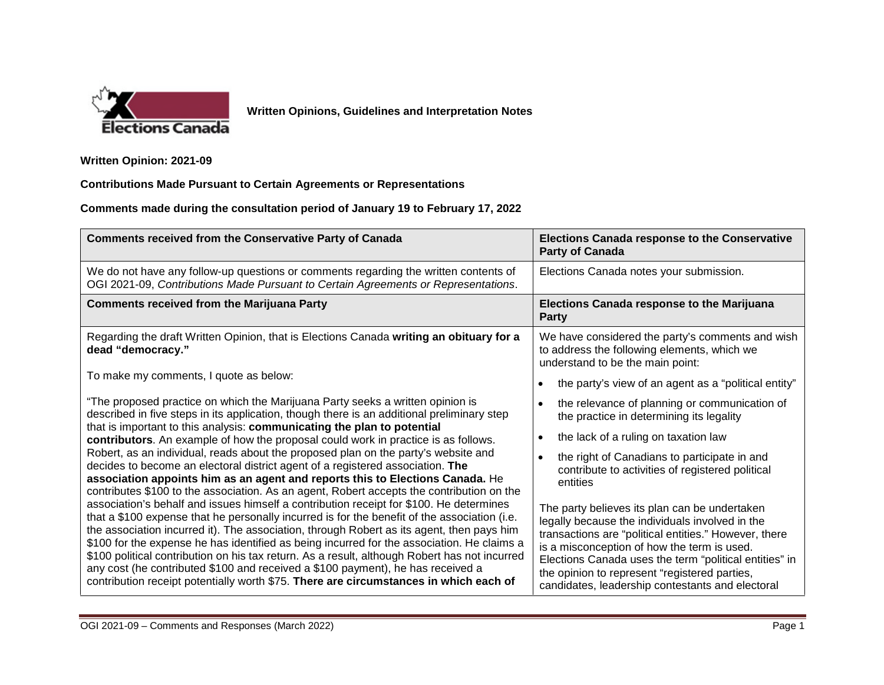

**Written Opinions, Guidelines and Interpretation Notes** 

**Written Opinion: 2021-09** 

**Contributions Made Pursuant to Certain Agreements or Representations** 

**Comments made during the consultation period of January 19 to February 17, 2022** 

| <b>Comments received from the Conservative Party of Canada</b>                                                                                                                                                                                                                                                                                                                                                                                                                                                                                                                                                                                                  | <b>Elections Canada response to the Conservative</b><br><b>Party of Canada</b>                                                                                                                                                                                                                                                                                          |
|-----------------------------------------------------------------------------------------------------------------------------------------------------------------------------------------------------------------------------------------------------------------------------------------------------------------------------------------------------------------------------------------------------------------------------------------------------------------------------------------------------------------------------------------------------------------------------------------------------------------------------------------------------------------|-------------------------------------------------------------------------------------------------------------------------------------------------------------------------------------------------------------------------------------------------------------------------------------------------------------------------------------------------------------------------|
| We do not have any follow-up questions or comments regarding the written contents of<br>OGI 2021-09, Contributions Made Pursuant to Certain Agreements or Representations.                                                                                                                                                                                                                                                                                                                                                                                                                                                                                      | Elections Canada notes your submission.                                                                                                                                                                                                                                                                                                                                 |
| <b>Comments received from the Marijuana Party</b>                                                                                                                                                                                                                                                                                                                                                                                                                                                                                                                                                                                                               | <b>Elections Canada response to the Marijuana</b><br><b>Party</b>                                                                                                                                                                                                                                                                                                       |
| Regarding the draft Written Opinion, that is Elections Canada writing an obituary for a<br>dead "democracy."                                                                                                                                                                                                                                                                                                                                                                                                                                                                                                                                                    | We have considered the party's comments and wish<br>to address the following elements, which we<br>understand to be the main point:                                                                                                                                                                                                                                     |
| To make my comments, I quote as below:                                                                                                                                                                                                                                                                                                                                                                                                                                                                                                                                                                                                                          | the party's view of an agent as a "political entity"<br>$\bullet$                                                                                                                                                                                                                                                                                                       |
| "The proposed practice on which the Marijuana Party seeks a written opinion is<br>described in five steps in its application, though there is an additional preliminary step<br>that is important to this analysis: communicating the plan to potential                                                                                                                                                                                                                                                                                                                                                                                                         | the relevance of planning or communication of<br>the practice in determining its legality                                                                                                                                                                                                                                                                               |
| contributors. An example of how the proposal could work in practice is as follows.                                                                                                                                                                                                                                                                                                                                                                                                                                                                                                                                                                              | the lack of a ruling on taxation law<br>$\bullet$                                                                                                                                                                                                                                                                                                                       |
| Robert, as an individual, reads about the proposed plan on the party's website and<br>decides to become an electoral district agent of a registered association. The<br>association appoints him as an agent and reports this to Elections Canada. He<br>contributes \$100 to the association. As an agent, Robert accepts the contribution on the                                                                                                                                                                                                                                                                                                              | the right of Canadians to participate in and<br>contribute to activities of registered political<br>entities                                                                                                                                                                                                                                                            |
| association's behalf and issues himself a contribution receipt for \$100. He determines<br>that a \$100 expense that he personally incurred is for the benefit of the association (i.e.<br>the association incurred it). The association, through Robert as its agent, then pays him<br>\$100 for the expense he has identified as being incurred for the association. He claims a<br>\$100 political contribution on his tax return. As a result, although Robert has not incurred<br>any cost (he contributed \$100 and received a \$100 payment), he has received a<br>contribution receipt potentially worth \$75. There are circumstances in which each of | The party believes its plan can be undertaken<br>legally because the individuals involved in the<br>transactions are "political entities." However, there<br>is a misconception of how the term is used.<br>Elections Canada uses the term "political entities" in<br>the opinion to represent "registered parties,<br>candidates, leadership contestants and electoral |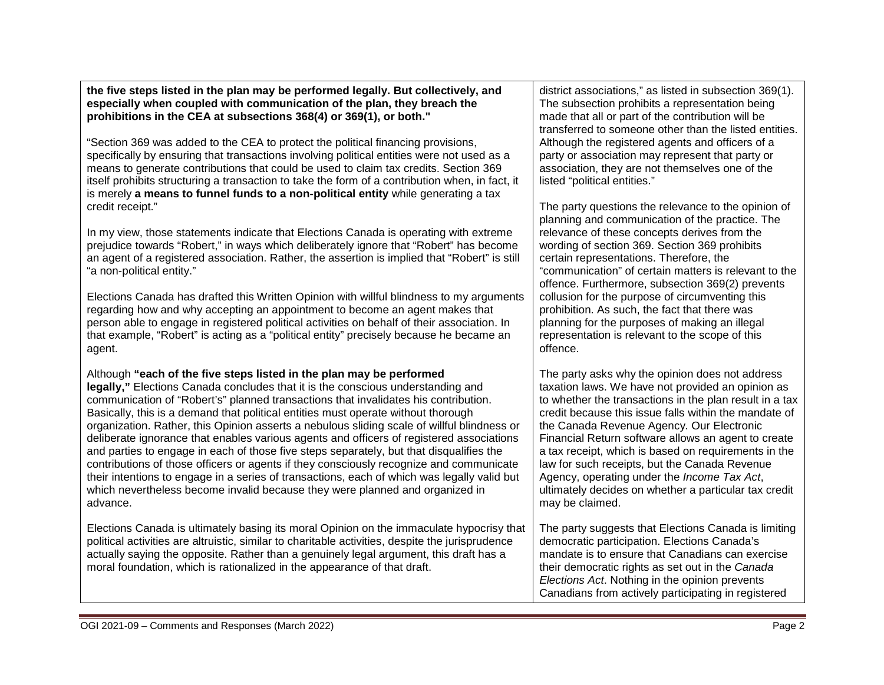**the five steps listed in the plan may be performed legally. But collectively, and especially when coupled with communication of the plan, they breach the prohibitions in the CEA at subsections 368(4) or 369(1), or both."**

"Section 369 was added to the CEA to protect the political financing provisions, specifically by ensuring that transactions involving political entities were not used as a means to generate contributions that could be used to claim tax credits. Section 369 itself prohibits structuring a transaction to take the form of a contribution when, in fact, it is merely **a means to funnel funds to a non-political entity** while generating a tax credit receipt."

In my view, those statements indicate that Elections Canada is operating with extreme prejudice towards "Robert," in ways which deliberately ignore that "Robert" has become an agent of a registered association. Rather, the assertion is implied that "Robert" is still "a non-political entity."

Elections Canada has drafted this Written Opinion with willful blindness to my arguments regarding how and why accepting an appointment to become an agent makes that person able to engage in registered political activities on behalf of their association. In that example, "Robert" is acting as a "political entity" precisely because he became an agent.

## Although **"each of the five steps listed in the plan may be performed**

**legally,"** Elections Canada concludes that it is the conscious understanding and communication of "Robert's" planned transactions that invalidates his contribution. Basically, this is a demand that political entities must operate without thorough organization. Rather, this Opinion asserts a nebulous sliding scale of willful blindness or deliberate ignorance that enables various agents and officers of registered associations and parties to engage in each of those five steps separately, but that disqualifies the contributions of those officers or agents if they consciously recognize and communicate their intentions to engage in a series of transactions, each of which was legally valid but which nevertheless become invalid because they were planned and organized in advance.

Elections Canada is ultimately basing its moral Opinion on the immaculate hypocrisy that political activities are altruistic, similar to charitable activities, despite the jurisprudence actually saying the opposite. Rather than a genuinely legal argument, this draft has a moral foundation, which is rationalized in the appearance of that draft.

district associations," as listed in subsection 369(1). The subsection prohibits a representation being made that all or part of the contribution will be transferred to someone other than the listed entities. Although the registered agents and officers of a party or association may represent that party or association, they are not themselves one of the listed "political entities."

The party questions the relevance to the opinion of planning and communication of the practice. The relevance of these concepts derives from the wording of section 369. Section 369 prohibits certain representations. Therefore, the "communication" of certain matters is relevant to the offence. Furthermore, subsection 369(2) prevents collusion for the purpose of circumventing this prohibition. As such, the fact that there was planning for the purposes of making an illegal representation is relevant to the scope of this offence.

The party asks why the opinion does not address taxation laws. We have not provided an opinion as to whether the transactions in the plan result in a tax credit because this issue falls within the mandate of the Canada Revenue Agency. Our Electronic Financial Return software allows an agent to create a tax receipt, which is based on requirements in the law for such receipts, but the Canada Revenue Agency, operating under the *Income Tax Act*, ultimately decides on whether a particular tax credit may be claimed.

The party suggests that Elections Canada is limiting democratic participation. Elections Canada's mandate is to ensure that Canadians can exercise their democratic rights as set out in the *Canada Elections Act*. Nothing in the opinion prevents Canadians from actively participating in registered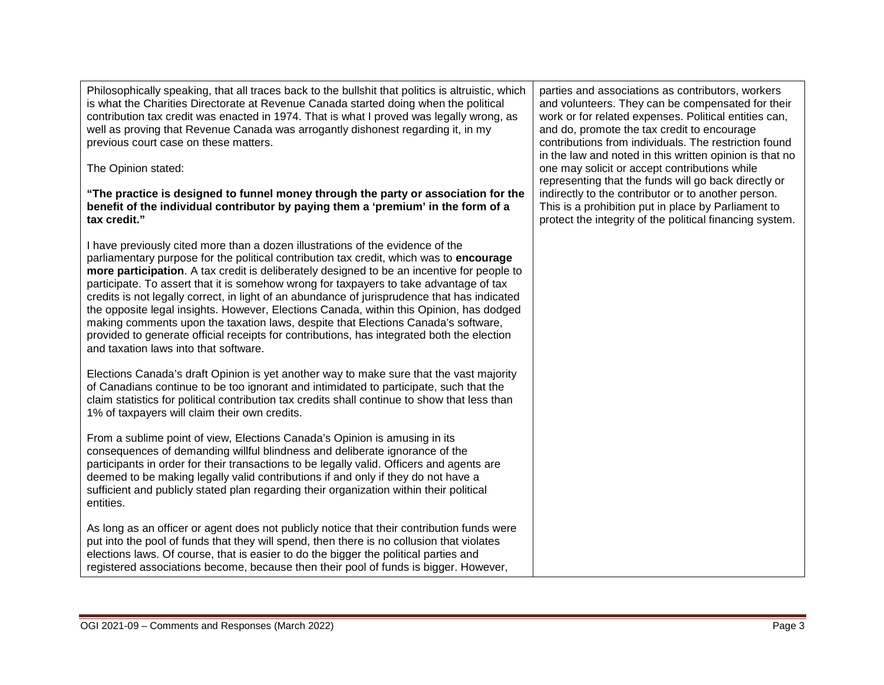Philosophically speaking, that all traces back to the bullshit that politics is altruistic, which is what the Charities Directorate at Revenue Canada started doing when the political contribution tax credit was enacted in 1974. That is what I proved was legally wrong, as well as proving that Revenue Canada was arrogantly dishonest regarding it, in my previous court case on these matters.

The Opinion stated:

**"The practice is designed to funnel money through the party or association for the benefit of the individual contributor by paying them a 'premium' in the form of a tax credit."**

I have previously cited more than a dozen illustrations of the evidence of the parliamentary purpose for the political contribution tax credit, which was to **encourage more participation**. A tax credit is deliberately designed to be an incentive for people to participate. To assert that it is somehow wrong for taxpayers to take advantage of tax credits is not legally correct, in light of an abundance of jurisprudence that has indicated the opposite legal insights. However, Elections Canada, within this Opinion, has dodged making comments upon the taxation laws, despite that Elections Canada's software, provided to generate official receipts for contributions, has integrated both the election and taxation laws into that software.

Elections Canada's draft Opinion is yet another way to make sure that the vast majority of Canadians continue to be too ignorant and intimidated to participate, such that the claim statistics for political contribution tax credits shall continue to show that less than 1% of taxpayers will claim their own credits.

From a sublime point of view, Elections Canada's Opinion is amusing in its consequences of demanding willful blindness and deliberate ignorance of the participants in order for their transactions to be legally valid. Officers and agents are deemed to be making legally valid contributions if and only if they do not have a sufficient and publicly stated plan regarding their organization within their political entities.

As long as an officer or agent does not publicly notice that their contribution funds were put into the pool of funds that they will spend, then there is no collusion that violates elections laws. Of course, that is easier to do the bigger the political parties and registered associations become, because then their pool of funds is bigger. However,

parties and associations as contributors, workers and volunteers. They can be compensated for their work or for related expenses. Political entities can, and do, promote the tax credit to encourage contributions from individuals. The restriction found in the law and noted in this written opinion is that no one may solicit or accept contributions while representing that the funds will go back directly or indirectly to the contributor or to another person. This is a prohibition put in place by Parliament to protect the integrity of the political financing system.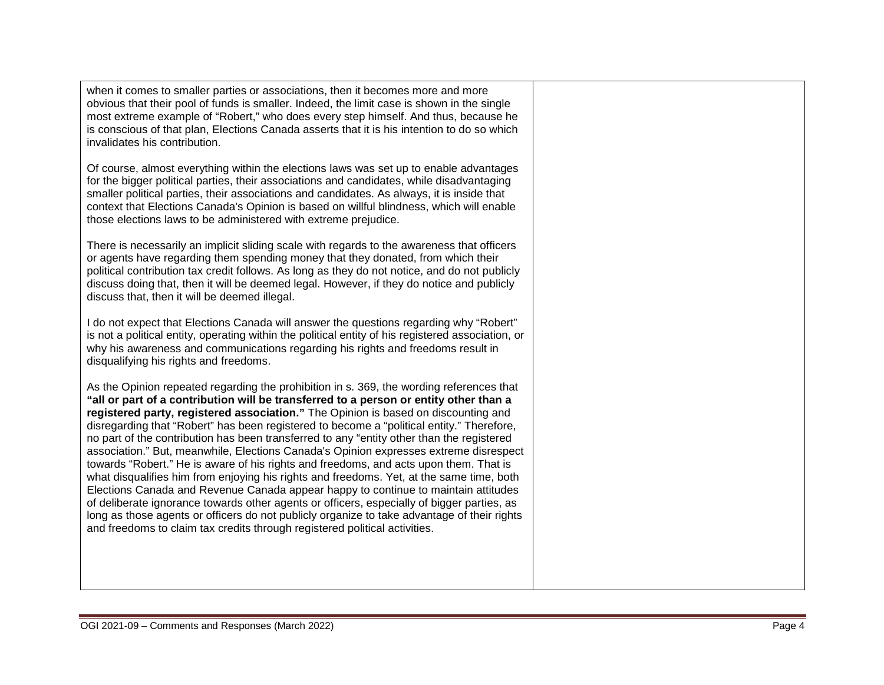when it comes to smaller parties or associations, then it becomes more and more obvious that their pool of funds is smaller. Indeed, the limit case is shown in the single most extreme example of "Robert," who does every step himself. And thus, because he is conscious of that plan, Elections Canada asserts that it is his intention to do so which invalidates his contribution.

Of course, almost everything within the elections laws was set up to enable advantages for the bigger political parties, their associations and candidates, while disadvantaging smaller political parties, their associations and candidates. As always, it is inside that context that Elections Canada's Opinion is based on willful blindness, which will enable those elections laws to be administered with extreme prejudice.

There is necessarily an implicit sliding scale with regards to the awareness that officers or agents have regarding them spending money that they donated, from which their political contribution tax credit follows. As long as they do not notice, and do not publicly discuss doing that, then it will be deemed legal. However, if they do notice and publicly discuss that, then it will be deemed illegal.

I do not expect that Elections Canada will answer the questions regarding why "Robert" is not a political entity, operating within the political entity of his registered association, or why his awareness and communications regarding his rights and freedoms result in disqualifying his rights and freedoms.

As the Opinion repeated regarding the prohibition in s. 369, the wording references that **"all or part of a contribution will be transferred to a person or entity other than a registered party, registered association."** The Opinion is based on discounting and disregarding that "Robert" has been registered to become a "political entity." Therefore, no part of the contribution has been transferred to any "entity other than the registered association." But, meanwhile, Elections Canada's Opinion expresses extreme disrespect towards "Robert." He is aware of his rights and freedoms, and acts upon them. That is what disqualifies him from enjoying his rights and freedoms. Yet, at the same time, both Elections Canada and Revenue Canada appear happy to continue to maintain attitudes of deliberate ignorance towards other agents or officers, especially of bigger parties, as long as those agents or officers do not publicly organize to take advantage of their rights and freedoms to claim tax credits through registered political activities.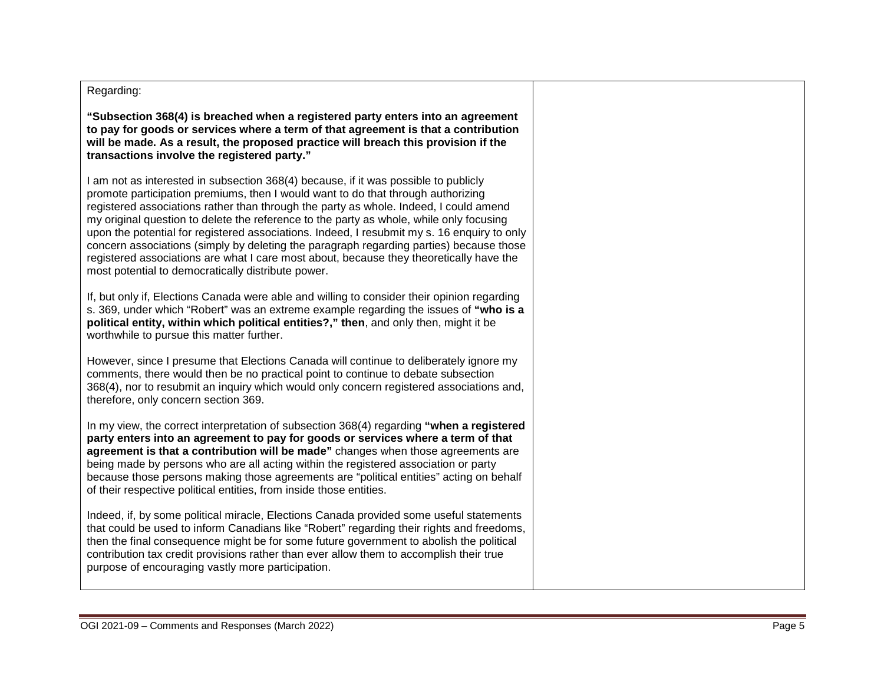## Regarding:

**"Subsection 368(4) is breached when a registered party enters into an agreement to pay for goods or services where a term of that agreement is that a contribution will be made. As a result, the proposed practice will breach this provision if the transactions involve the registered party."**

I am not as interested in subsection 368(4) because, if it was possible to publicly promote participation premiums, then I would want to do that through authorizing registered associations rather than through the party as whole. Indeed, I could amend my original question to delete the reference to the party as whole, while only focusing upon the potential for registered associations. Indeed, I resubmit my s. 16 enquiry to only concern associations (simply by deleting the paragraph regarding parties) because those registered associations are what I care most about, because they theoretically have the most potential to democratically distribute power.

If, but only if, Elections Canada were able and willing to consider their opinion regarding s. 369, under which "Robert" was an extreme example regarding the issues of **"who is a political entity, within which political entities?," then**, and only then, might it be worthwhile to pursue this matter further.

However, since I presume that Elections Canada will continue to deliberately ignore my comments, there would then be no practical point to continue to debate subsection 368(4), nor to resubmit an inquiry which would only concern registered associations and, therefore, only concern section 369.

In my view, the correct interpretation of subsection 368(4) regarding **"when a registered party enters into an agreement to pay for goods or services where a term of that agreement is that a contribution will be made"** changes when those agreements are being made by persons who are all acting within the registered association or party because those persons making those agreements are "political entities" acting on behalf of their respective political entities, from inside those entities.

Indeed, if, by some political miracle, Elections Canada provided some useful statements that could be used to inform Canadians like "Robert" regarding their rights and freedoms, then the final consequence might be for some future government to abolish the political contribution tax credit provisions rather than ever allow them to accomplish their true purpose of encouraging vastly more participation.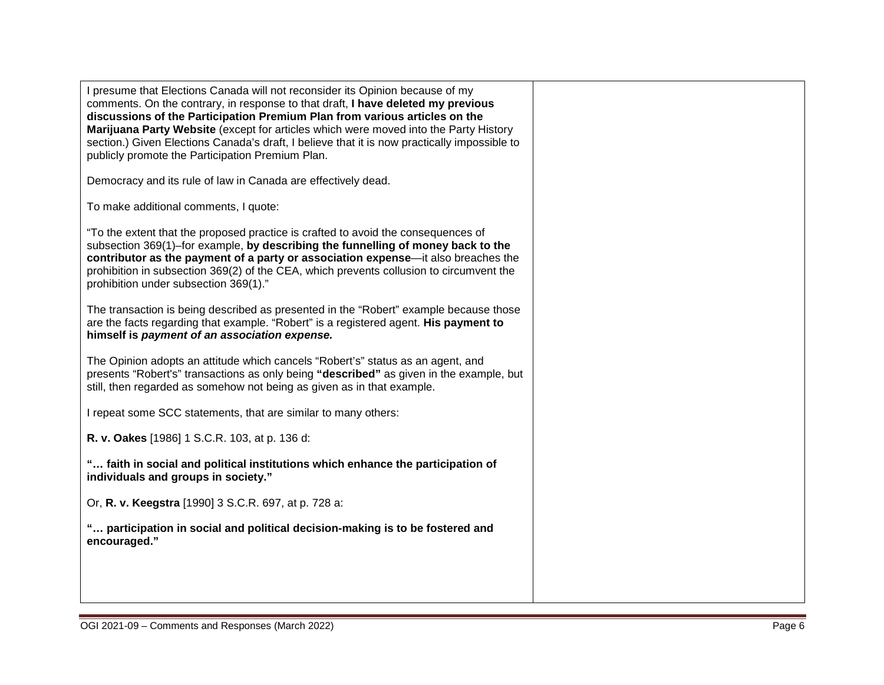| I presume that Elections Canada will not reconsider its Opinion because of my<br>comments. On the contrary, in response to that draft, I have deleted my previous<br>discussions of the Participation Premium Plan from various articles on the<br>Marijuana Party Website (except for articles which were moved into the Party History<br>section.) Given Elections Canada's draft, I believe that it is now practically impossible to<br>publicly promote the Participation Premium Plan. |  |
|---------------------------------------------------------------------------------------------------------------------------------------------------------------------------------------------------------------------------------------------------------------------------------------------------------------------------------------------------------------------------------------------------------------------------------------------------------------------------------------------|--|
| Democracy and its rule of law in Canada are effectively dead.                                                                                                                                                                                                                                                                                                                                                                                                                               |  |
| To make additional comments, I quote:                                                                                                                                                                                                                                                                                                                                                                                                                                                       |  |
| "To the extent that the proposed practice is crafted to avoid the consequences of<br>subsection 369(1)–for example, by describing the funnelling of money back to the<br>contributor as the payment of a party or association expense—it also breaches the<br>prohibition in subsection 369(2) of the CEA, which prevents collusion to circumvent the<br>prohibition under subsection 369(1)."                                                                                              |  |
| The transaction is being described as presented in the "Robert" example because those<br>are the facts regarding that example. "Robert" is a registered agent. His payment to<br>himself is payment of an association expense.                                                                                                                                                                                                                                                              |  |
| The Opinion adopts an attitude which cancels "Robert's" status as an agent, and<br>presents "Robert's" transactions as only being "described" as given in the example, but<br>still, then regarded as somehow not being as given as in that example.                                                                                                                                                                                                                                        |  |
| I repeat some SCC statements, that are similar to many others:                                                                                                                                                                                                                                                                                                                                                                                                                              |  |
| R. v. Oakes [1986] 1 S.C.R. 103, at p. 136 d:                                                                                                                                                                                                                                                                                                                                                                                                                                               |  |
| " faith in social and political institutions which enhance the participation of<br>individuals and groups in society."                                                                                                                                                                                                                                                                                                                                                                      |  |
| Or, R. v. Keegstra [1990] 3 S.C.R. 697, at p. 728 a:                                                                                                                                                                                                                                                                                                                                                                                                                                        |  |
| " participation in social and political decision-making is to be fostered and<br>encouraged."                                                                                                                                                                                                                                                                                                                                                                                               |  |
|                                                                                                                                                                                                                                                                                                                                                                                                                                                                                             |  |
|                                                                                                                                                                                                                                                                                                                                                                                                                                                                                             |  |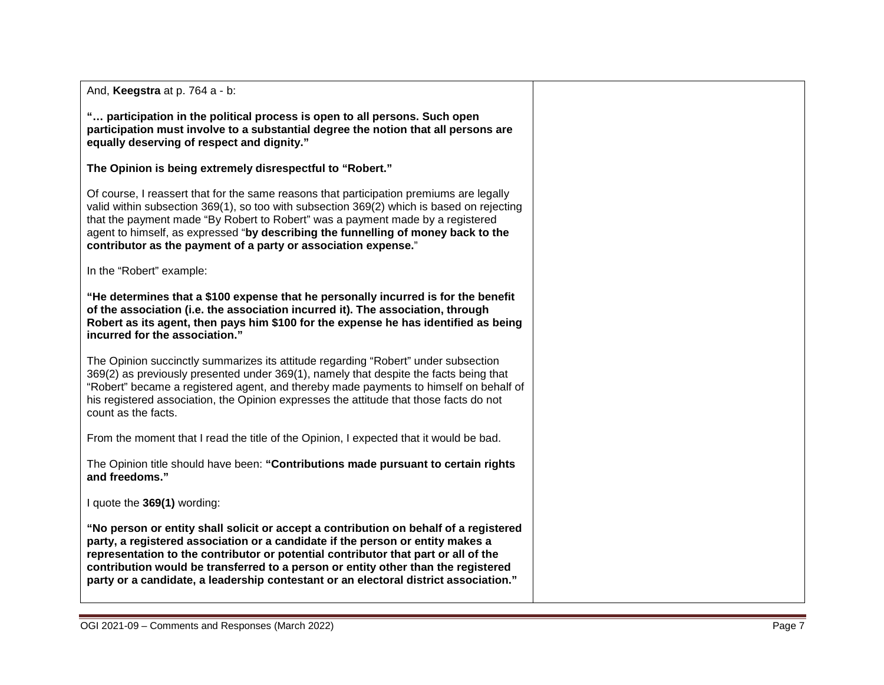And, **Keegstra** at p. 764 a - b:

**"… participation in the political process is open to all persons. Such open participation must involve to a substantial degree the notion that all persons are equally deserving of respect and dignity."**

**The Opinion is being extremely disrespectful to "Robert."** 

Of course, I reassert that for the same reasons that participation premiums are legally valid within subsection 369(1), so too with subsection 369(2) which is based on rejecting that the payment made "By Robert to Robert" was a payment made by a registered agent to himself, as expressed "**by describing the funnelling of money back to the contributor as the payment of a party or association expense.**"

In the "Robert" example:

**"He determines that a \$100 expense that he personally incurred is for the benefit of the association (i.e. the association incurred it). The association, through Robert as its agent, then pays him \$100 for the expense he has identified as being incurred for the association."**

The Opinion succinctly summarizes its attitude regarding "Robert" under subsection 369(2) as previously presented under 369(1), namely that despite the facts being that "Robert" became a registered agent, and thereby made payments to himself on behalf of his registered association, the Opinion expresses the attitude that those facts do not count as the facts.

From the moment that I read the title of the Opinion, I expected that it would be bad.

The Opinion title should have been: **"Contributions made pursuant to certain rights and freedoms."** 

I quote the **369(1)** wording:

**"No person or entity shall solicit or accept a contribution on behalf of a registered party, a registered association or a candidate if the person or entity makes a representation to the contributor or potential contributor that part or all of the contribution would be transferred to a person or entity other than the registered party or a candidate, a leadership contestant or an electoral district association."**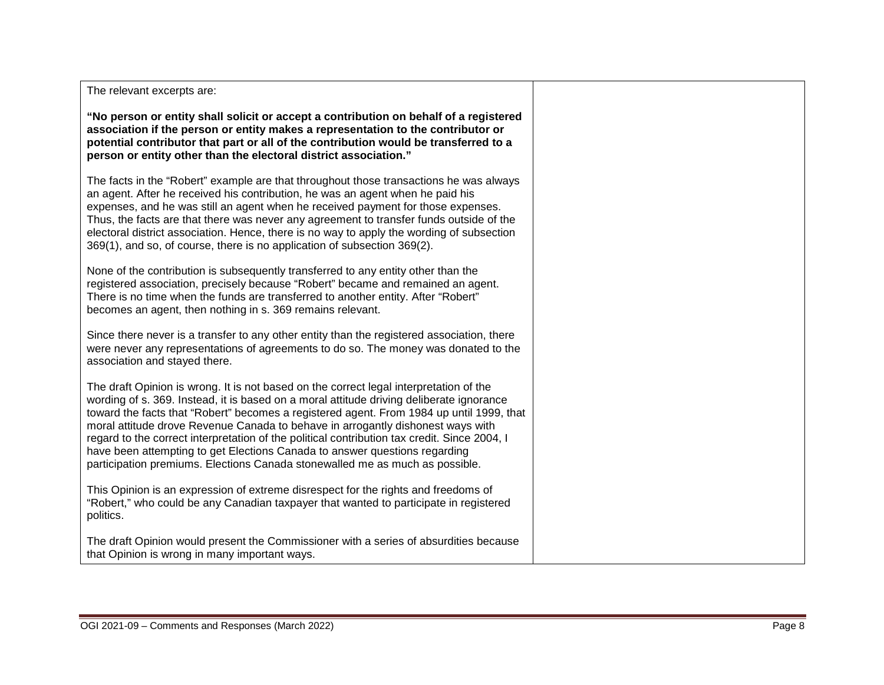**"No person or entity shall solicit or accept a contribution on behalf of a registered association if the person or entity makes a representation to the contributor or potential contributor that part or all of the contribution would be transferred to a person or entity other than the electoral district association."**

The facts in the "Robert" example are that throughout those transactions he was always an agent. After he received his contribution, he was an agent when he paid his expenses, and he was still an agent when he received payment for those expenses. Thus, the facts are that there was never any agreement to transfer funds outside of the electoral district association. Hence, there is no way to apply the wording of subsection 369(1), and so, of course, there is no application of subsection 369(2).

None of the contribution is subsequently transferred to any entity other than the registered association, precisely because "Robert" became and remained an agent. There is no time when the funds are transferred to another entity. After "Robert" becomes an agent, then nothing in s. 369 remains relevant.

Since there never is a transfer to any other entity than the registered association, there were never any representations of agreements to do so. The money was donated to the association and stayed there.

The draft Opinion is wrong. It is not based on the correct legal interpretation of the wording of s. 369. Instead, it is based on a moral attitude driving deliberate ignorance toward the facts that "Robert" becomes a registered agent. From 1984 up until 1999, that moral attitude drove Revenue Canada to behave in arrogantly dishonest ways with regard to the correct interpretation of the political contribution tax credit. Since 2004, I have been attempting to get Elections Canada to answer questions regarding participation premiums. Elections Canada stonewalled me as much as possible.

This Opinion is an expression of extreme disrespect for the rights and freedoms of "Robert," who could be any Canadian taxpayer that wanted to participate in registered politics.

The draft Opinion would present the Commissioner with a series of absurdities because that Opinion is wrong in many important ways.